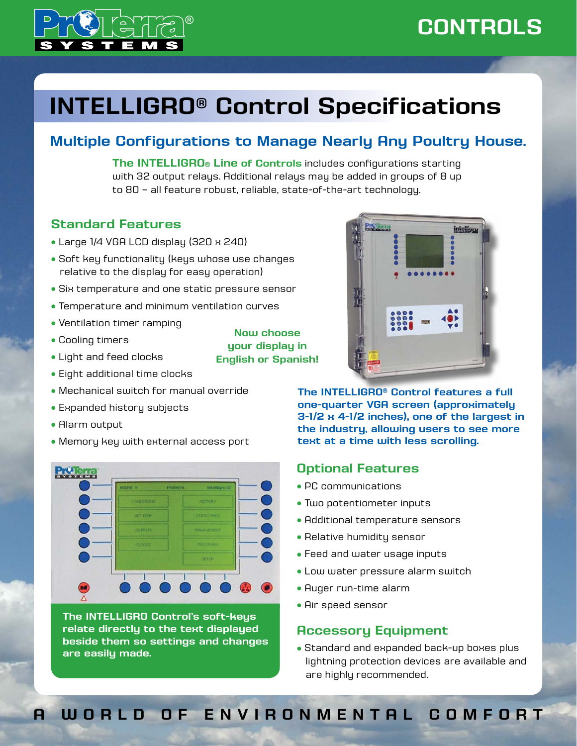

## **CONTROLS** ®

intelligr

# **INTELLIGRO® Control Specifications**

## **Multiple Configurations to Manage Nearly Any Poultry House.**

**The INTELLIGRO® Line of controls** includes configurations starting with 32 output relays. Additional relays may be added in groups of 8 up to 80 – all feature robust, reliable, state-of-the-art technology.

### **Standard Features**

- <sup>l</sup> Large 1/4 VGA LCD display (320 x 240)
- Soft key functionality (keys whose use changes relative to the display for easy operation)
- **Six temperature and one static pressure sensor**
- **Temperature and minimum ventilation curves**
- Ventilation timer ramping
- Cooling timers
- Light and feed clocks
- Eight additional time clocks
- Mechanical switch for manual override
- Expanded history subjects
- Alarm output
- Memory key with external access port



**The INTELLIGRO Control's soft-keys relate directly to the text displayed beside them so settings and changes are easily made.**

**Now choose your display in English or Spanish!**



**The INTELLIGRO® Control features a full one-quarter VGA screen (approximately 3-1/2 x 4-1/2 inches), one of the largest in the industry, allowing users to see more text at a time with less scrolling.**

#### **Optional Features**

- PC communications
- Two potentiometer inputs
- Additional temperature sensors
- $\bullet$  Relative humidity sensor
- Feed and water usage inputs
- Low water pressure alarm switch
- Auger run-time alarm
- Air speed sensor

#### **Accessory Equipment**

• Standard and expanded back-up boxes plus lightning protection devices are available and are highly recommended.

## **A WORLD OF ENVIRONMENTAL COMFORT**